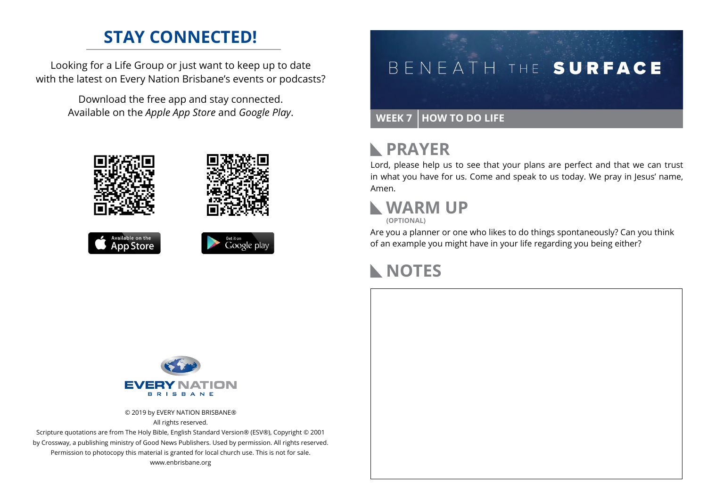### **STAY CONNECTED!**

Looking for a Life Group or just want to keep up to date with the latest on Every Nation Brisbane's events or podcasts?

> Download the free app and stay connected. Available on the *Apple App Store* and *Google Play*.





```
Available on the
App Store
```


# BENEATH THE SURFACE

#### **WEEK 7 HOW TO DO LIFE**

### **N** PRAYER

Lord, please help us to see that your plans are perfect and that we can trust in what you have for us. Come and speak to us today. We pray in Jesus' name, Amen.

#### **WARM UP (OPTIONAL)**

Are you a planner or one who likes to do things spontaneously? Can you think of an example you might have in your life regarding you being either?

## **NOTES**



© 2019 by EVERY NATION BRISBANE® All rights reserved.

Scripture quotations are from The Holy Bible, English Standard Version® (ESV®), Copyright © 2001 by Crossway, a publishing ministry of Good News Publishers. Used by permission. All rights reserved. Permission to photocopy this material is granted for local church use. This is not for sale. www.enbrisbane.org